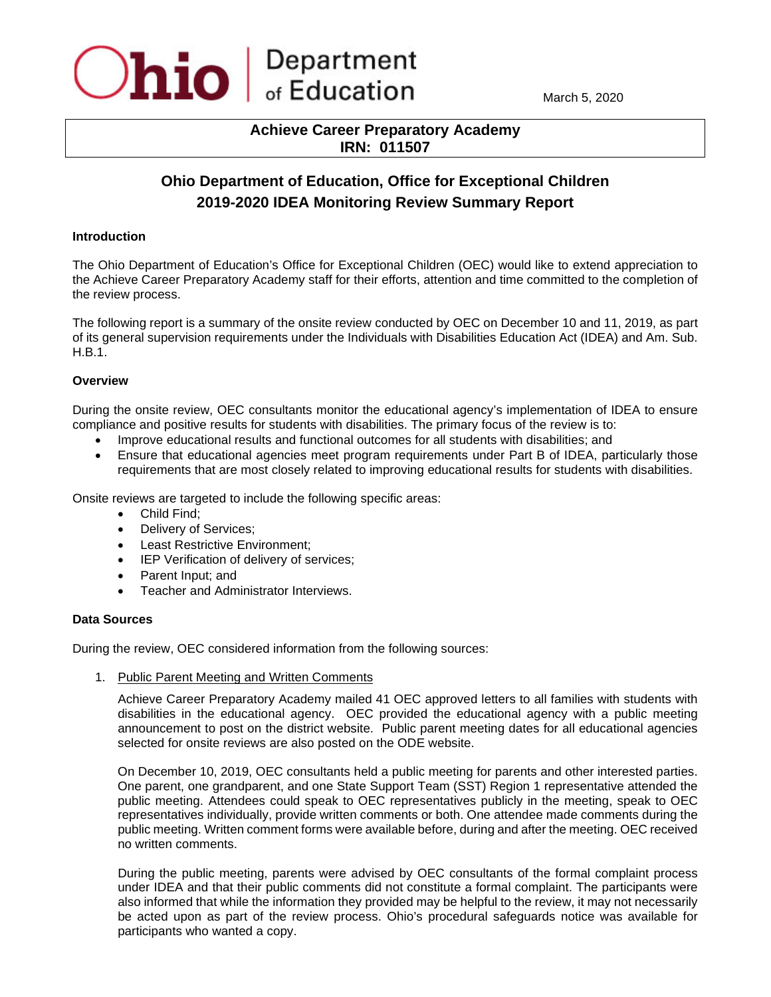

March 5, 2020

# **Achieve Career Preparatory Academy IRN: 011507**

# **Ohio Department of Education, Office for Exceptional Children 2019-2020 IDEA Monitoring Review Summary Report**

### **Introduction**

The Ohio Department of Education's Office for Exceptional Children (OEC) would like to extend appreciation to the Achieve Career Preparatory Academy staff for their efforts, attention and time committed to the completion of the review process.

The following report is a summary of the onsite review conducted by OEC on December 10 and 11, 2019, as part of its general supervision requirements under the Individuals with Disabilities Education Act (IDEA) and Am. Sub. H.B.1.

## **Overview**

During the onsite review, OEC consultants monitor the educational agency's implementation of IDEA to ensure compliance and positive results for students with disabilities. The primary focus of the review is to:

- Improve educational results and functional outcomes for all students with disabilities; and
- Ensure that educational agencies meet program requirements under Part B of IDEA, particularly those requirements that are most closely related to improving educational results for students with disabilities.

Onsite reviews are targeted to include the following specific areas:

- Child Find;
- Delivery of Services;
- Least Restrictive Environment;
- IEP Verification of delivery of services;
- Parent Input; and
- Teacher and Administrator Interviews.

#### **Data Sources**

During the review, OEC considered information from the following sources:

1. Public Parent Meeting and Written Comments

Achieve Career Preparatory Academy mailed 41 OEC approved letters to all families with students with disabilities in the educational agency. OEC provided the educational agency with a public meeting announcement to post on the district website. Public parent meeting dates for all educational agencies selected for onsite reviews are also posted on the ODE website.

On December 10, 2019, OEC consultants held a public meeting for parents and other interested parties. One parent, one grandparent, and one State Support Team (SST) Region 1 representative attended the public meeting. Attendees could speak to OEC representatives publicly in the meeting, speak to OEC representatives individually, provide written comments or both. One attendee made comments during the public meeting. Written comment forms were available before, during and after the meeting. OEC received no written comments.

During the public meeting, parents were advised by OEC consultants of the formal complaint process under IDEA and that their public comments did not constitute a formal complaint. The participants were also informed that while the information they provided may be helpful to the review, it may not necessarily be acted upon as part of the review process. Ohio's procedural safeguards notice was available for participants who wanted a copy.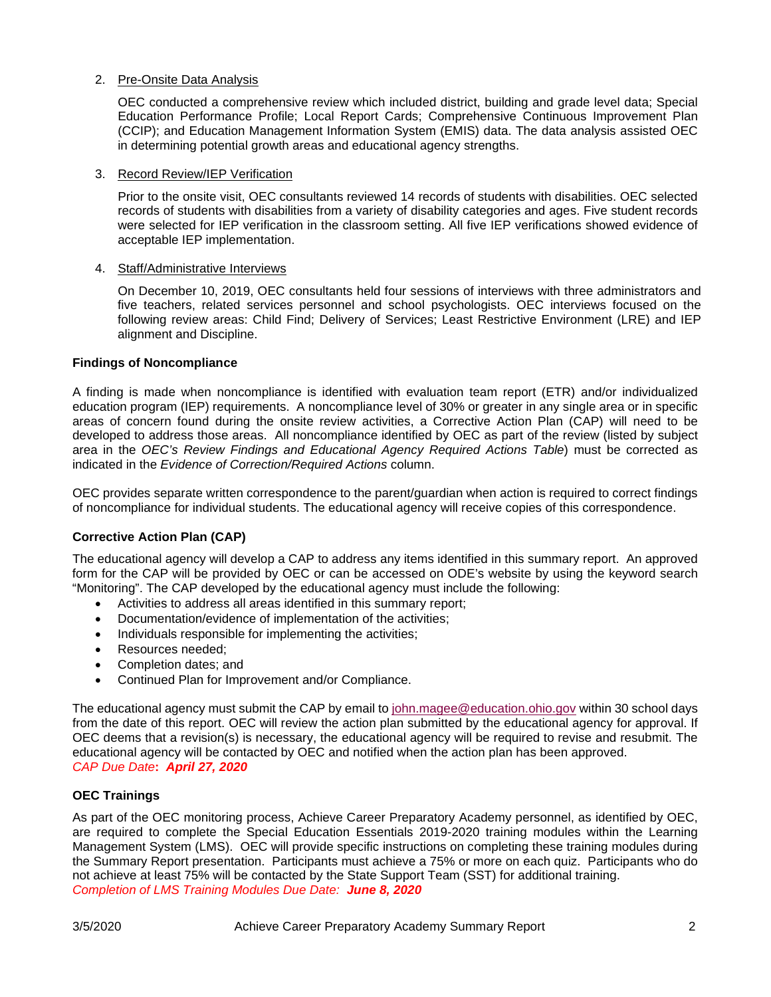## 2. Pre-Onsite Data Analysis

OEC conducted a comprehensive review which included district, building and grade level data; Special Education Performance Profile; Local Report Cards; Comprehensive Continuous Improvement Plan (CCIP); and Education Management Information System (EMIS) data. The data analysis assisted OEC in determining potential growth areas and educational agency strengths.

#### 3. Record Review/IEP Verification

Prior to the onsite visit, OEC consultants reviewed 14 records of students with disabilities. OEC selected records of students with disabilities from a variety of disability categories and ages. Five student records were selected for IEP verification in the classroom setting. All five IEP verifications showed evidence of acceptable IEP implementation.

#### 4. Staff/Administrative Interviews

On December 10, 2019, OEC consultants held four sessions of interviews with three administrators and five teachers, related services personnel and school psychologists. OEC interviews focused on the following review areas: Child Find; Delivery of Services; Least Restrictive Environment (LRE) and IEP alignment and Discipline.

#### **Findings of Noncompliance**

A finding is made when noncompliance is identified with evaluation team report (ETR) and/or individualized education program (IEP) requirements. A noncompliance level of 30% or greater in any single area or in specific areas of concern found during the onsite review activities, a Corrective Action Plan (CAP) will need to be developed to address those areas. All noncompliance identified by OEC as part of the review (listed by subject area in the *OEC's Review Findings and Educational Agency Required Actions Table*) must be corrected as indicated in the *Evidence of Correction/Required Actions* column.

OEC provides separate written correspondence to the parent/guardian when action is required to correct findings of noncompliance for individual students. The educational agency will receive copies of this correspondence.

#### **Corrective Action Plan (CAP)**

The educational agency will develop a CAP to address any items identified in this summary report. An approved form for the CAP will be provided by OEC or can be accessed on ODE's website by using the keyword search "Monitoring". The CAP developed by the educational agency must include the following:

- Activities to address all areas identified in this summary report;
- Documentation/evidence of implementation of the activities;
- Individuals responsible for implementing the activities;
- Resources needed:
- Completion dates; and
- Continued Plan for Improvement and/or Compliance.

The educational agency must submit the CAP by email to [john.magee@education.ohio.gov](mailto:john.magee@education.ohio.gov) within 30 school days from the date of this report. OEC will review the action plan submitted by the educational agency for approval. If OEC deems that a revision(s) is necessary, the educational agency will be required to revise and resubmit. The educational agency will be contacted by OEC and notified when the action plan has been approved. *CAP Due Date***:** *April 27, 2020*

### **OEC Trainings**

As part of the OEC monitoring process, Achieve Career Preparatory Academy personnel, as identified by OEC, are required to complete the Special Education Essentials 2019-2020 training modules within the Learning Management System (LMS). OEC will provide specific instructions on completing these training modules during the Summary Report presentation. Participants must achieve a 75% or more on each quiz. Participants who do not achieve at least 75% will be contacted by the State Support Team (SST) for additional training. *Completion of LMS Training Modules Due Date: June 8, 2020*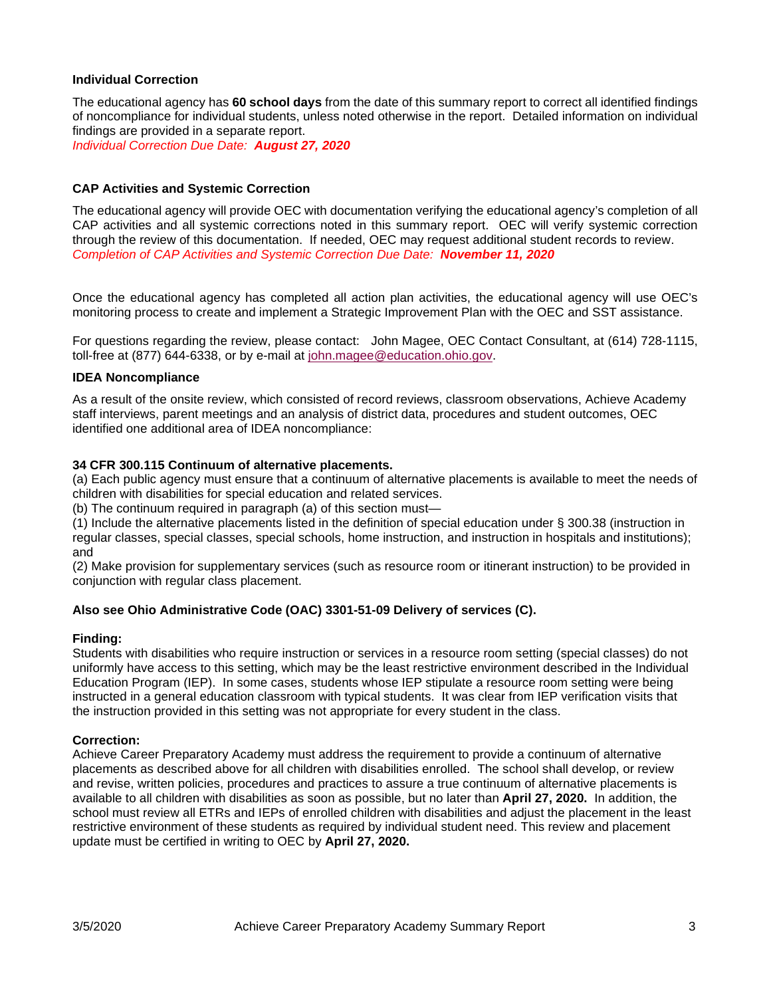## **Individual Correction**

The educational agency has **60 school days** from the date of this summary report to correct all identified findings of noncompliance for individual students, unless noted otherwise in the report. Detailed information on individual findings are provided in a separate report.

*Individual Correction Due Date: August 27, 2020*

#### **CAP Activities and Systemic Correction**

The educational agency will provide OEC with documentation verifying the educational agency's completion of all CAP activities and all systemic corrections noted in this summary report. OEC will verify systemic correction through the review of this documentation. If needed, OEC may request additional student records to review. *Completion of CAP Activities and Systemic Correction Due Date: November 11, 2020*

Once the educational agency has completed all action plan activities, the educational agency will use OEC's monitoring process to create and implement a Strategic Improvement Plan with the OEC and SST assistance.

For questions regarding the review, please contact:John Magee, OEC Contact Consultant, at (614) 728-1115, toll-free at (877) 644-6338, or by e-mail at [john.magee@education.ohio.gov.](mailto:joseph.kujkowski@education.ohio.gov)

#### **IDEA Noncompliance**

As a result of the onsite review, which consisted of record reviews, classroom observations, Achieve Academy staff interviews, parent meetings and an analysis of district data, procedures and student outcomes, OEC identified one additional area of IDEA noncompliance:

#### **34 CFR 300.115 Continuum of alternative placements.**

(a) Each public agency must ensure that a continuum of alternative placements is available to meet the needs of children with disabilities for special education and related services.

(b) The continuum required in paragraph (a) of this section must—

(1) Include the alternative placements listed in the definition of special education under § 300.38 (instruction in regular classes, special classes, special schools, home instruction, and instruction in hospitals and institutions); and

(2) Make provision for supplementary services (such as resource room or itinerant instruction) to be provided in conjunction with regular class placement.

#### **Also see Ohio Administrative Code (OAC) 3301-51-09 Delivery of services (C).**

#### **Finding:**

Students with disabilities who require instruction or services in a resource room setting (special classes) do not uniformly have access to this setting, which may be the least restrictive environment described in the Individual Education Program (IEP). In some cases, students whose IEP stipulate a resource room setting were being instructed in a general education classroom with typical students. It was clear from IEP verification visits that the instruction provided in this setting was not appropriate for every student in the class.

#### **Correction:**

Achieve Career Preparatory Academy must address the requirement to provide a continuum of alternative placements as described above for all children with disabilities enrolled. The school shall develop, or review and revise, written policies, procedures and practices to assure a true continuum of alternative placements is available to all children with disabilities as soon as possible, but no later than **April 27, 2020.** In addition, the school must review all ETRs and IEPs of enrolled children with disabilities and adjust the placement in the least restrictive environment of these students as required by individual student need. This review and placement update must be certified in writing to OEC by **April 27, 2020.**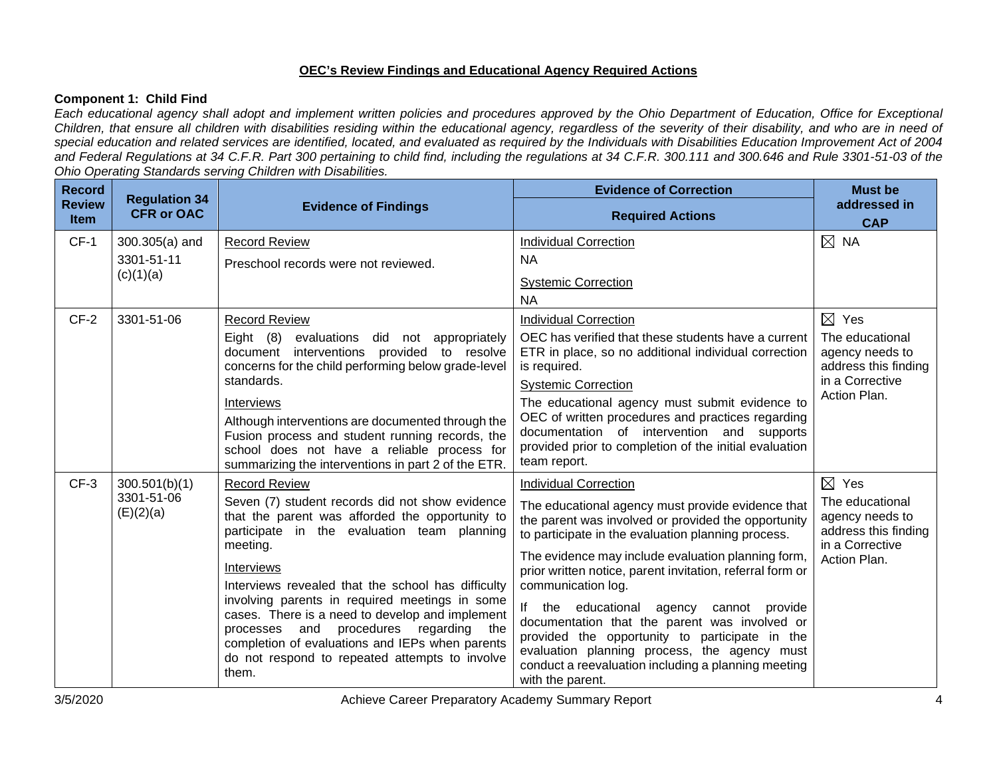## **OEC's Review Findings and Educational Agency Required Actions**

## **Component 1: Child Find**

*Each educational agency shall adopt and implement written policies and procedures approved by the Ohio Department of Education, Office for Exceptional Children, that ensure all children with disabilities residing within the educational agency, regardless of the severity of their disability, and who are in need of special education and related services are identified, located, and evaluated as required by the Individuals with Disabilities Education Improvement Act of 2004 and Federal Regulations at 34 C.F.R. Part 300 pertaining to child find, including the regulations at 34 C.F.R. 300.111 and 300.646 and Rule 3301-51-03 of the Ohio Operating Standards serving Children with Disabilities.* 

| <b>Record</b>                | <b>Regulation 34</b>    |                                                                                                                                                                                                                                                                                                                    | <b>Evidence of Correction</b>                                                                                                                                                                                                                                                                         | <b>Must be</b>                                                                |
|------------------------------|-------------------------|--------------------------------------------------------------------------------------------------------------------------------------------------------------------------------------------------------------------------------------------------------------------------------------------------------------------|-------------------------------------------------------------------------------------------------------------------------------------------------------------------------------------------------------------------------------------------------------------------------------------------------------|-------------------------------------------------------------------------------|
| <b>Review</b><br><b>Item</b> | <b>CFR or OAC</b>       | <b>Evidence of Findings</b>                                                                                                                                                                                                                                                                                        | <b>Required Actions</b>                                                                                                                                                                                                                                                                               | addressed in<br><b>CAP</b>                                                    |
| $CF-1$                       | $300.305(a)$ and        | <b>Record Review</b>                                                                                                                                                                                                                                                                                               | <b>Individual Correction</b>                                                                                                                                                                                                                                                                          | $\boxtimes$ NA                                                                |
|                              | 3301-51-11              | Preschool records were not reviewed.                                                                                                                                                                                                                                                                               | <b>NA</b>                                                                                                                                                                                                                                                                                             |                                                                               |
|                              | (c)(1)(a)               |                                                                                                                                                                                                                                                                                                                    | <b>Systemic Correction</b><br><b>NA</b>                                                                                                                                                                                                                                                               |                                                                               |
| $CF-2$                       | 3301-51-06              | <b>Record Review</b>                                                                                                                                                                                                                                                                                               | <b>Individual Correction</b>                                                                                                                                                                                                                                                                          | $\boxtimes$ Yes                                                               |
|                              |                         | Eight $(8)$<br>evaluations<br>did not appropriately<br>document interventions provided to resolve<br>concerns for the child performing below grade-level                                                                                                                                                           | OEC has verified that these students have a current<br>ETR in place, so no additional individual correction<br>is required.                                                                                                                                                                           | The educational<br>agency needs to<br>address this finding                    |
|                              |                         | standards.                                                                                                                                                                                                                                                                                                         | <b>Systemic Correction</b>                                                                                                                                                                                                                                                                            | in a Corrective                                                               |
|                              |                         | Interviews<br>Although interventions are documented through the<br>Fusion process and student running records, the<br>school does not have a reliable process for<br>summarizing the interventions in part 2 of the ETR.                                                                                           | The educational agency must submit evidence to<br>OEC of written procedures and practices regarding<br>documentation of intervention and supports<br>provided prior to completion of the initial evaluation<br>team report.                                                                           | Action Plan.                                                                  |
| $CF-3$                       | 300.501(b)(1)           | <b>Record Review</b>                                                                                                                                                                                                                                                                                               | <b>Individual Correction</b>                                                                                                                                                                                                                                                                          | $\boxtimes$ Yes                                                               |
|                              | 3301-51-06<br>(E)(2)(a) | Seven (7) student records did not show evidence<br>that the parent was afforded the opportunity to<br>participate in the evaluation team planning<br>meeting.                                                                                                                                                      | The educational agency must provide evidence that<br>the parent was involved or provided the opportunity<br>to participate in the evaluation planning process.                                                                                                                                        | The educational<br>agency needs to<br>address this finding<br>in a Corrective |
|                              |                         | Interviews                                                                                                                                                                                                                                                                                                         | The evidence may include evaluation planning form,<br>prior written notice, parent invitation, referral form or                                                                                                                                                                                       | Action Plan.                                                                  |
|                              |                         | Interviews revealed that the school has difficulty<br>involving parents in required meetings in some<br>cases. There is a need to develop and implement<br>procedures regarding the<br>processes and<br>completion of evaluations and IEPs when parents<br>do not respond to repeated attempts to involve<br>them. | communication log.<br>lf<br>the<br>educational agency<br>cannot provide<br>documentation that the parent was involved or<br>provided the opportunity to participate in the<br>evaluation planning process, the agency must<br>conduct a reevaluation including a planning meeting<br>with the parent. |                                                                               |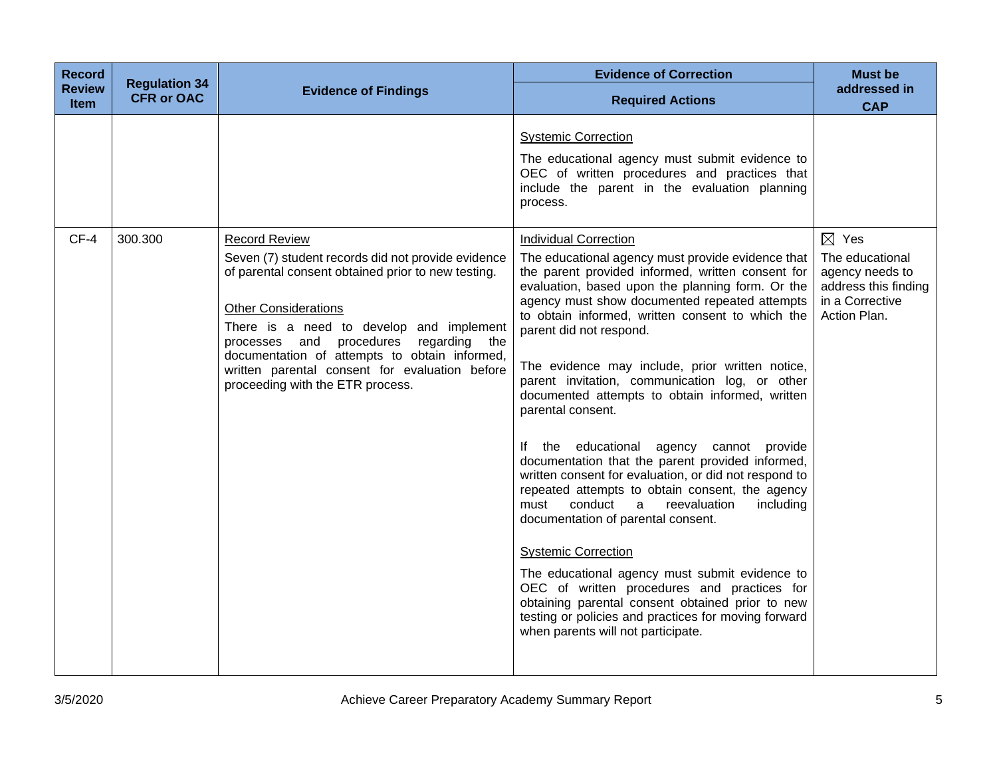| <b>Record</b><br><b>Review</b><br>Item | <b>Regulation 34</b><br><b>CFR or OAC</b> | <b>Evidence of Findings</b>                                                                                                                                                                                                                                                                                                                                                   | <b>Evidence of Correction</b><br><b>Required Actions</b>                                                                                                                                                                                                                                                                                                                                                                                                                                                                                                                                                                                                                                                                                                                                                                                                                                                                                                                                                                                                           | <b>Must be</b><br>addressed in<br><b>CAP</b>                                                  |
|----------------------------------------|-------------------------------------------|-------------------------------------------------------------------------------------------------------------------------------------------------------------------------------------------------------------------------------------------------------------------------------------------------------------------------------------------------------------------------------|--------------------------------------------------------------------------------------------------------------------------------------------------------------------------------------------------------------------------------------------------------------------------------------------------------------------------------------------------------------------------------------------------------------------------------------------------------------------------------------------------------------------------------------------------------------------------------------------------------------------------------------------------------------------------------------------------------------------------------------------------------------------------------------------------------------------------------------------------------------------------------------------------------------------------------------------------------------------------------------------------------------------------------------------------------------------|-----------------------------------------------------------------------------------------------|
| $CF-4$                                 | 300.300                                   | <b>Record Review</b>                                                                                                                                                                                                                                                                                                                                                          | <b>Systemic Correction</b><br>The educational agency must submit evidence to<br>OEC of written procedures and practices that<br>include the parent in the evaluation planning<br>process.<br><b>Individual Correction</b>                                                                                                                                                                                                                                                                                                                                                                                                                                                                                                                                                                                                                                                                                                                                                                                                                                          | $\boxtimes$ Yes                                                                               |
|                                        |                                           | Seven (7) student records did not provide evidence<br>of parental consent obtained prior to new testing.<br><b>Other Considerations</b><br>There is a need to develop and implement<br>and procedures<br>regarding<br>the<br>processes<br>documentation of attempts to obtain informed,<br>written parental consent for evaluation before<br>proceeding with the ETR process. | The educational agency must provide evidence that<br>the parent provided informed, written consent for<br>evaluation, based upon the planning form. Or the<br>agency must show documented repeated attempts<br>to obtain informed, written consent to which the<br>parent did not respond.<br>The evidence may include, prior written notice,<br>parent invitation, communication log, or other<br>documented attempts to obtain informed, written<br>parental consent.<br>If the educational agency cannot<br>provide<br>documentation that the parent provided informed,<br>written consent for evaluation, or did not respond to<br>repeated attempts to obtain consent, the agency<br>conduct<br>including<br>a<br>reevaluation<br>must<br>documentation of parental consent.<br><b>Systemic Correction</b><br>The educational agency must submit evidence to<br>OEC of written procedures and practices for<br>obtaining parental consent obtained prior to new<br>testing or policies and practices for moving forward<br>when parents will not participate. | The educational<br>agency needs to<br>address this finding<br>in a Corrective<br>Action Plan. |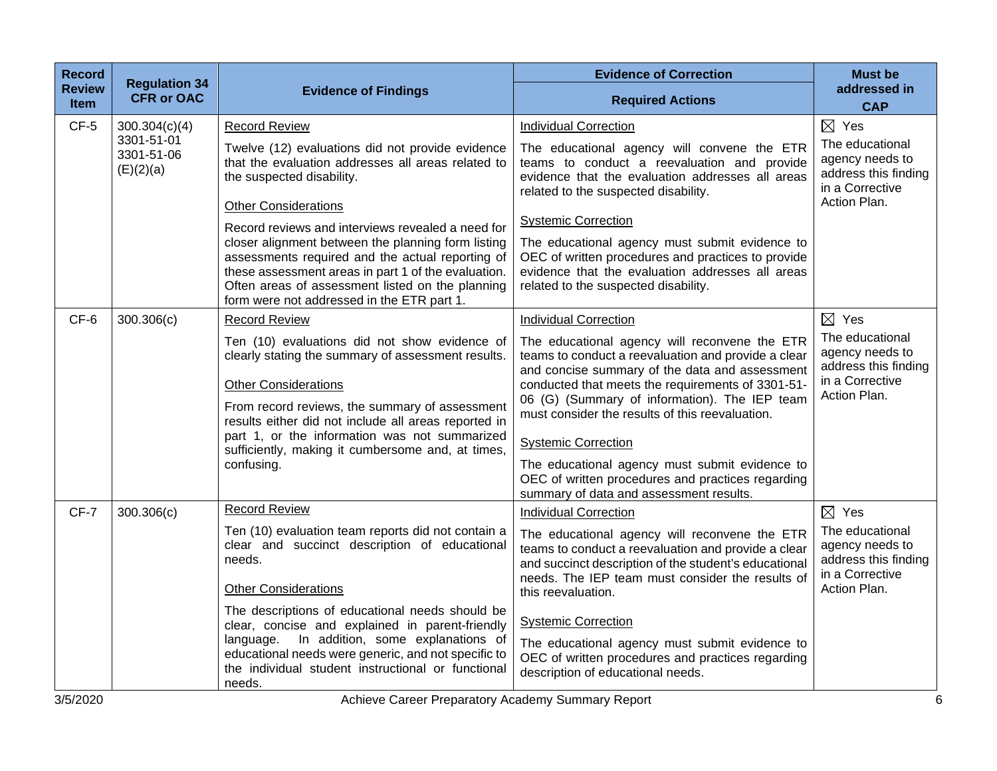| <b>Record</b>                | <b>Regulation 34</b>                  |                                                                                                                                                                                                                                                                                                                                                                                                                                                     | <b>Evidence of Correction</b>                                                                                                                                                                                                                                                                                                                                                                                                                                                                   | <b>Must be</b>                                                                                                   |
|------------------------------|---------------------------------------|-----------------------------------------------------------------------------------------------------------------------------------------------------------------------------------------------------------------------------------------------------------------------------------------------------------------------------------------------------------------------------------------------------------------------------------------------------|-------------------------------------------------------------------------------------------------------------------------------------------------------------------------------------------------------------------------------------------------------------------------------------------------------------------------------------------------------------------------------------------------------------------------------------------------------------------------------------------------|------------------------------------------------------------------------------------------------------------------|
| <b>Review</b><br><b>Item</b> | <b>CFR or OAC</b>                     | <b>Evidence of Findings</b>                                                                                                                                                                                                                                                                                                                                                                                                                         | <b>Required Actions</b>                                                                                                                                                                                                                                                                                                                                                                                                                                                                         | addressed in<br><b>CAP</b>                                                                                       |
| $CF-5$                       | 300.304(c)(4)                         | <b>Record Review</b>                                                                                                                                                                                                                                                                                                                                                                                                                                | <b>Individual Correction</b>                                                                                                                                                                                                                                                                                                                                                                                                                                                                    | $\boxtimes$ Yes                                                                                                  |
|                              | 3301-51-01<br>3301-51-06<br>(E)(2)(a) | Twelve (12) evaluations did not provide evidence<br>that the evaluation addresses all areas related to<br>the suspected disability.<br><b>Other Considerations</b>                                                                                                                                                                                                                                                                                  | The educational agency will convene the ETR<br>teams to conduct a reevaluation and provide<br>evidence that the evaluation addresses all areas<br>related to the suspected disability.                                                                                                                                                                                                                                                                                                          | The educational<br>agency needs to<br>address this finding<br>in a Corrective<br>Action Plan.                    |
|                              |                                       | Record reviews and interviews revealed a need for<br>closer alignment between the planning form listing<br>assessments required and the actual reporting of<br>these assessment areas in part 1 of the evaluation.<br>Often areas of assessment listed on the planning<br>form were not addressed in the ETR part 1.                                                                                                                                | <b>Systemic Correction</b><br>The educational agency must submit evidence to<br>OEC of written procedures and practices to provide<br>evidence that the evaluation addresses all areas<br>related to the suspected disability.                                                                                                                                                                                                                                                                  |                                                                                                                  |
| CF-6                         | 300.306(c)                            | <b>Record Review</b>                                                                                                                                                                                                                                                                                                                                                                                                                                | <b>Individual Correction</b>                                                                                                                                                                                                                                                                                                                                                                                                                                                                    | $\boxtimes$ Yes                                                                                                  |
|                              |                                       | Ten (10) evaluations did not show evidence of<br>clearly stating the summary of assessment results.<br><b>Other Considerations</b><br>From record reviews, the summary of assessment<br>results either did not include all areas reported in<br>part 1, or the information was not summarized<br>sufficiently, making it cumbersome and, at times,<br>confusing.                                                                                    | The educational agency will reconvene the ETR<br>teams to conduct a reevaluation and provide a clear<br>and concise summary of the data and assessment<br>conducted that meets the requirements of 3301-51-<br>06 (G) (Summary of information). The IEP team<br>must consider the results of this reevaluation.<br><b>Systemic Correction</b><br>The educational agency must submit evidence to<br>OEC of written procedures and practices regarding<br>summary of data and assessment results. | The educational<br>agency needs to<br>address this finding<br>in a Corrective<br>Action Plan.                    |
| $CF-7$                       | 300.306(c)                            | <b>Record Review</b><br>Ten (10) evaluation team reports did not contain a<br>clear and succinct description of educational<br>needs.<br><b>Other Considerations</b><br>The descriptions of educational needs should be<br>clear, concise and explained in parent-friendly<br>In addition, some explanations of<br>language.<br>educational needs were generic, and not specific to<br>the individual student instructional or functional<br>needs. | <b>Individual Correction</b><br>The educational agency will reconvene the ETR<br>teams to conduct a reevaluation and provide a clear<br>and succinct description of the student's educational<br>needs. The IEP team must consider the results of<br>this reevaluation.<br><b>Systemic Correction</b><br>The educational agency must submit evidence to<br>OEC of written procedures and practices regarding<br>description of educational needs.                                               | $\boxtimes$ Yes<br>The educational<br>agency needs to<br>address this finding<br>in a Corrective<br>Action Plan. |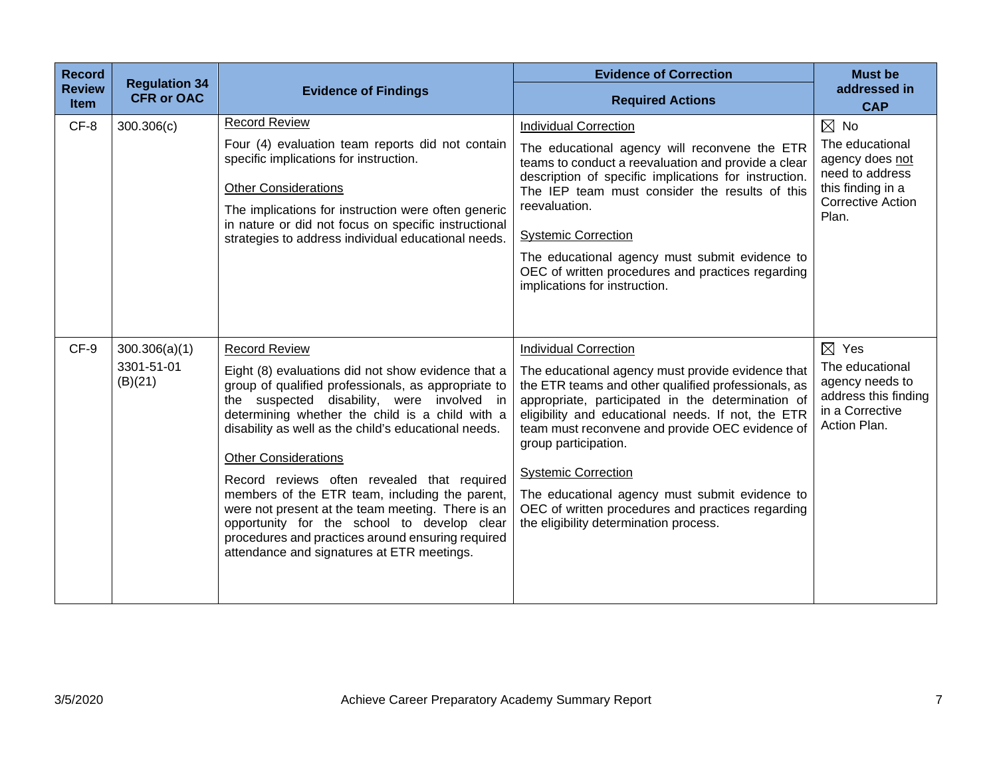| <b>Record</b><br><b>Review</b><br><b>Item</b> | <b>Regulation 34</b><br><b>CFR or OAC</b> | <b>Evidence of Findings</b>                                                                                                                                                                                                                                                                                                                                                                                                                                                                                                                                                                                                       | <b>Evidence of Correction</b><br><b>Required Actions</b>                                                                                                                                                                                                                                                                                                                                                                                                                                                      | <b>Must be</b><br>addressed in<br><b>CAP</b>                                                                                      |
|-----------------------------------------------|-------------------------------------------|-----------------------------------------------------------------------------------------------------------------------------------------------------------------------------------------------------------------------------------------------------------------------------------------------------------------------------------------------------------------------------------------------------------------------------------------------------------------------------------------------------------------------------------------------------------------------------------------------------------------------------------|---------------------------------------------------------------------------------------------------------------------------------------------------------------------------------------------------------------------------------------------------------------------------------------------------------------------------------------------------------------------------------------------------------------------------------------------------------------------------------------------------------------|-----------------------------------------------------------------------------------------------------------------------------------|
| $CF-8$                                        | 300.306(c)                                | <b>Record Review</b><br>Four (4) evaluation team reports did not contain<br>specific implications for instruction.<br><b>Other Considerations</b><br>The implications for instruction were often generic<br>in nature or did not focus on specific instructional<br>strategies to address individual educational needs.                                                                                                                                                                                                                                                                                                           | <b>Individual Correction</b><br>The educational agency will reconvene the ETR<br>teams to conduct a reevaluation and provide a clear<br>description of specific implications for instruction.<br>The IEP team must consider the results of this<br>reevaluation.<br><b>Systemic Correction</b><br>The educational agency must submit evidence to<br>OEC of written procedures and practices regarding<br>implications for instruction.                                                                        | $\boxtimes$ No<br>The educational<br>agency does not<br>need to address<br>this finding in a<br><b>Corrective Action</b><br>Plan. |
| CF-9                                          | 300.306(a)(1)<br>3301-51-01<br>(B)(21)    | <b>Record Review</b><br>Eight (8) evaluations did not show evidence that a<br>group of qualified professionals, as appropriate to<br>the suspected disability, were involved in<br>determining whether the child is a child with a<br>disability as well as the child's educational needs.<br><b>Other Considerations</b><br>Record reviews often revealed that required<br>members of the ETR team, including the parent,<br>were not present at the team meeting. There is an<br>opportunity for the school to develop clear<br>procedures and practices around ensuring required<br>attendance and signatures at ETR meetings. | <b>Individual Correction</b><br>The educational agency must provide evidence that<br>the ETR teams and other qualified professionals, as<br>appropriate, participated in the determination of<br>eligibility and educational needs. If not, the ETR<br>team must reconvene and provide OEC evidence of<br>group participation.<br><b>Systemic Correction</b><br>The educational agency must submit evidence to<br>OEC of written procedures and practices regarding<br>the eligibility determination process. | $\boxtimes$ Yes<br>The educational<br>agency needs to<br>address this finding<br>in a Corrective<br>Action Plan.                  |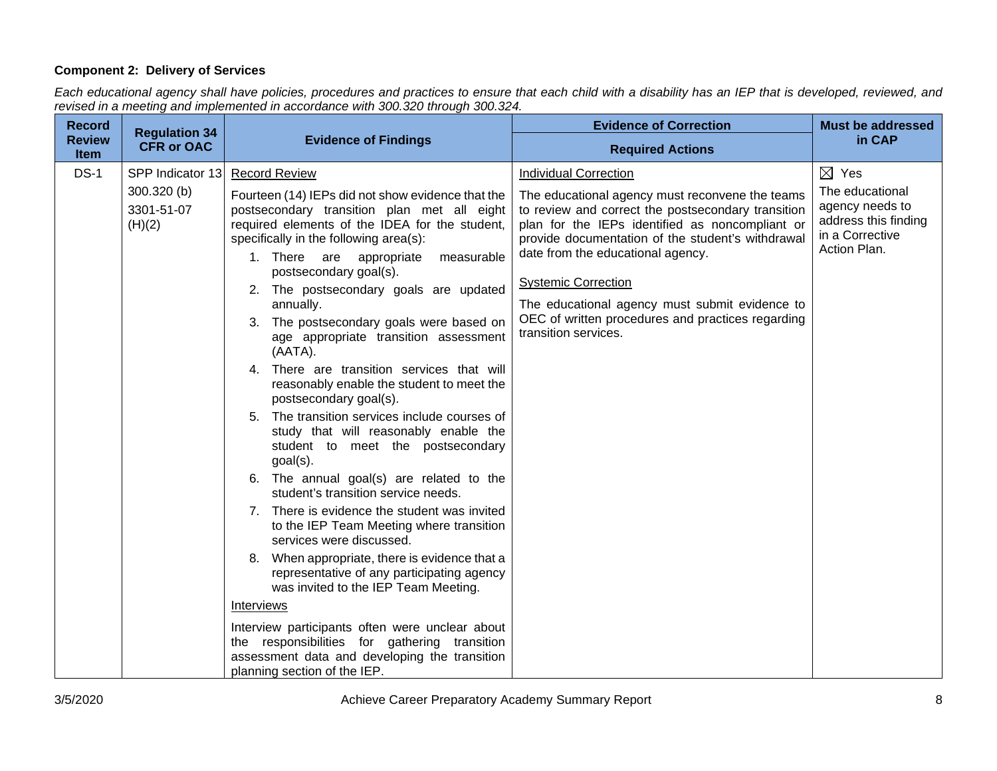## **Component 2: Delivery of Services**

*Each educational agency shall have policies, procedures and practices to ensure that each child with a disability has an IEP that is developed, reviewed, and revised in a meeting and implemented in accordance with 300.320 through 300.324.*

| <b>Record</b>                | <b>Regulation 34</b>                                    |                                                                                                                                                                                                                                                                                                                                                                                                                                                                                                                                                                                                                                                                                                                                                                                                                                                                                                                                                                                                                                                                                                                                                                                                                                                                         | <b>Evidence of Correction</b>                                                                                                                                                                                                                                                                                                                                                                                                                   | <b>Must be addressed</b>                                                                                         |
|------------------------------|---------------------------------------------------------|-------------------------------------------------------------------------------------------------------------------------------------------------------------------------------------------------------------------------------------------------------------------------------------------------------------------------------------------------------------------------------------------------------------------------------------------------------------------------------------------------------------------------------------------------------------------------------------------------------------------------------------------------------------------------------------------------------------------------------------------------------------------------------------------------------------------------------------------------------------------------------------------------------------------------------------------------------------------------------------------------------------------------------------------------------------------------------------------------------------------------------------------------------------------------------------------------------------------------------------------------------------------------|-------------------------------------------------------------------------------------------------------------------------------------------------------------------------------------------------------------------------------------------------------------------------------------------------------------------------------------------------------------------------------------------------------------------------------------------------|------------------------------------------------------------------------------------------------------------------|
| <b>Review</b><br><b>Item</b> | <b>CFR or OAC</b>                                       | <b>Evidence of Findings</b>                                                                                                                                                                                                                                                                                                                                                                                                                                                                                                                                                                                                                                                                                                                                                                                                                                                                                                                                                                                                                                                                                                                                                                                                                                             | <b>Required Actions</b>                                                                                                                                                                                                                                                                                                                                                                                                                         | in CAP                                                                                                           |
| $DS-1$                       | SPP Indicator 13<br>300.320 (b)<br>3301-51-07<br>(H)(2) | <b>Record Review</b><br>Fourteen (14) IEPs did not show evidence that the<br>postsecondary transition plan met all eight<br>required elements of the IDEA for the student,<br>specifically in the following area(s):<br>1. There are appropriate<br>measurable<br>postsecondary goal(s).<br>2. The postsecondary goals are updated<br>annually.<br>3. The postsecondary goals were based on<br>age appropriate transition assessment<br>(AATA).<br>4. There are transition services that will<br>reasonably enable the student to meet the<br>postsecondary goal(s).<br>5. The transition services include courses of<br>study that will reasonably enable the<br>student to meet the postsecondary<br>$goal(s)$ .<br>6. The annual goal(s) are related to the<br>student's transition service needs.<br>7. There is evidence the student was invited<br>to the IEP Team Meeting where transition<br>services were discussed.<br>8. When appropriate, there is evidence that a<br>representative of any participating agency<br>was invited to the IEP Team Meeting.<br>Interviews<br>Interview participants often were unclear about<br>the responsibilities for gathering transition<br>assessment data and developing the transition<br>planning section of the IEP. | <b>Individual Correction</b><br>The educational agency must reconvene the teams<br>to review and correct the postsecondary transition<br>plan for the IEPs identified as noncompliant or<br>provide documentation of the student's withdrawal<br>date from the educational agency.<br><b>Systemic Correction</b><br>The educational agency must submit evidence to<br>OEC of written procedures and practices regarding<br>transition services. | $\boxtimes$ Yes<br>The educational<br>agency needs to<br>address this finding<br>in a Corrective<br>Action Plan. |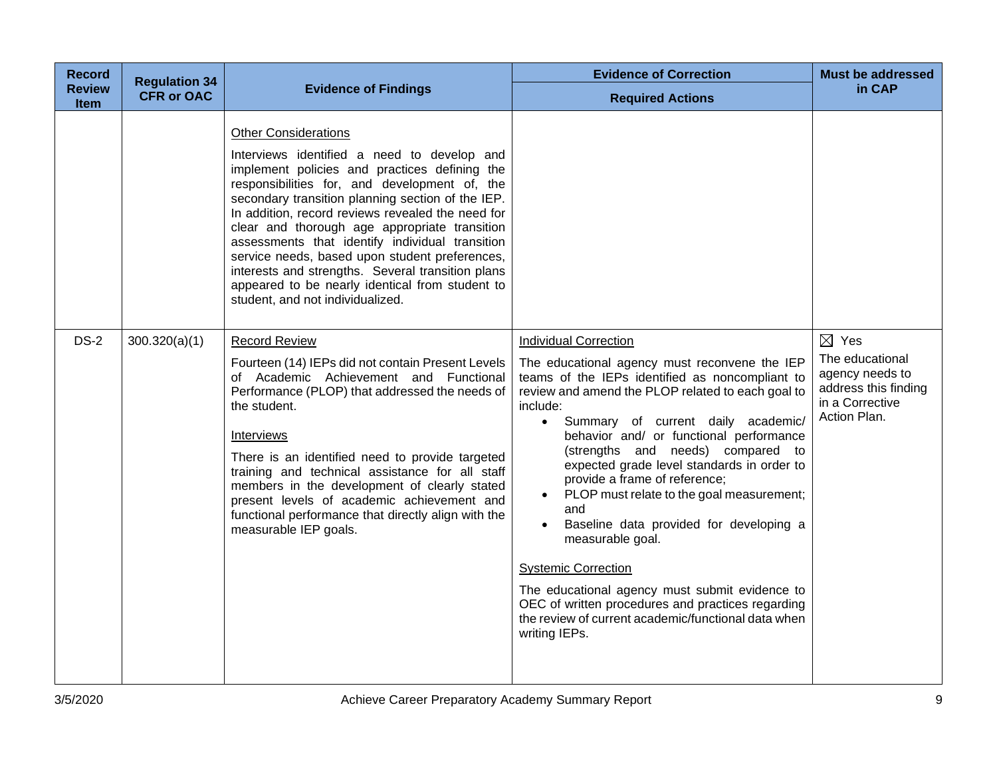| <b>Record</b>         | <b>Regulation 34</b> |                                                                                                                                                                                                                                                                                                                                                                                                                                                                                                                                                                                          | <b>Evidence of Correction</b>                                                                                                                                                                                                                                                                                                                                                                                                                                                                                                                                                                                                                                                                                                            | <b>Must be addressed</b>                                                                                         |
|-----------------------|----------------------|------------------------------------------------------------------------------------------------------------------------------------------------------------------------------------------------------------------------------------------------------------------------------------------------------------------------------------------------------------------------------------------------------------------------------------------------------------------------------------------------------------------------------------------------------------------------------------------|------------------------------------------------------------------------------------------------------------------------------------------------------------------------------------------------------------------------------------------------------------------------------------------------------------------------------------------------------------------------------------------------------------------------------------------------------------------------------------------------------------------------------------------------------------------------------------------------------------------------------------------------------------------------------------------------------------------------------------------|------------------------------------------------------------------------------------------------------------------|
| <b>Review</b><br>Item | <b>CFR or OAC</b>    | <b>Evidence of Findings</b>                                                                                                                                                                                                                                                                                                                                                                                                                                                                                                                                                              | <b>Required Actions</b>                                                                                                                                                                                                                                                                                                                                                                                                                                                                                                                                                                                                                                                                                                                  | in CAP                                                                                                           |
|                       |                      | <b>Other Considerations</b><br>Interviews identified a need to develop and<br>implement policies and practices defining the<br>responsibilities for, and development of, the<br>secondary transition planning section of the IEP.<br>In addition, record reviews revealed the need for<br>clear and thorough age appropriate transition<br>assessments that identify individual transition<br>service needs, based upon student preferences,<br>interests and strengths. Several transition plans<br>appeared to be nearly identical from student to<br>student, and not individualized. |                                                                                                                                                                                                                                                                                                                                                                                                                                                                                                                                                                                                                                                                                                                                          |                                                                                                                  |
| $DS-2$                | 300.320(a)(1)        | <b>Record Review</b><br>Fourteen (14) IEPs did not contain Present Levels<br>of Academic Achievement and Functional<br>Performance (PLOP) that addressed the needs of<br>the student.<br>Interviews<br>There is an identified need to provide targeted<br>training and technical assistance for all staff<br>members in the development of clearly stated<br>present levels of academic achievement and<br>functional performance that directly align with the<br>measurable IEP goals.                                                                                                  | <b>Individual Correction</b><br>The educational agency must reconvene the IEP<br>teams of the IEPs identified as noncompliant to<br>review and amend the PLOP related to each goal to<br>include:<br>· Summary of current daily academic/<br>behavior and/ or functional performance<br>(strengths and needs) compared to<br>expected grade level standards in order to<br>provide a frame of reference;<br>PLOP must relate to the goal measurement;<br>and<br>Baseline data provided for developing a<br>measurable goal.<br><b>Systemic Correction</b><br>The educational agency must submit evidence to<br>OEC of written procedures and practices regarding<br>the review of current academic/functional data when<br>writing IEPs. | $\boxtimes$ Yes<br>The educational<br>agency needs to<br>address this finding<br>in a Corrective<br>Action Plan. |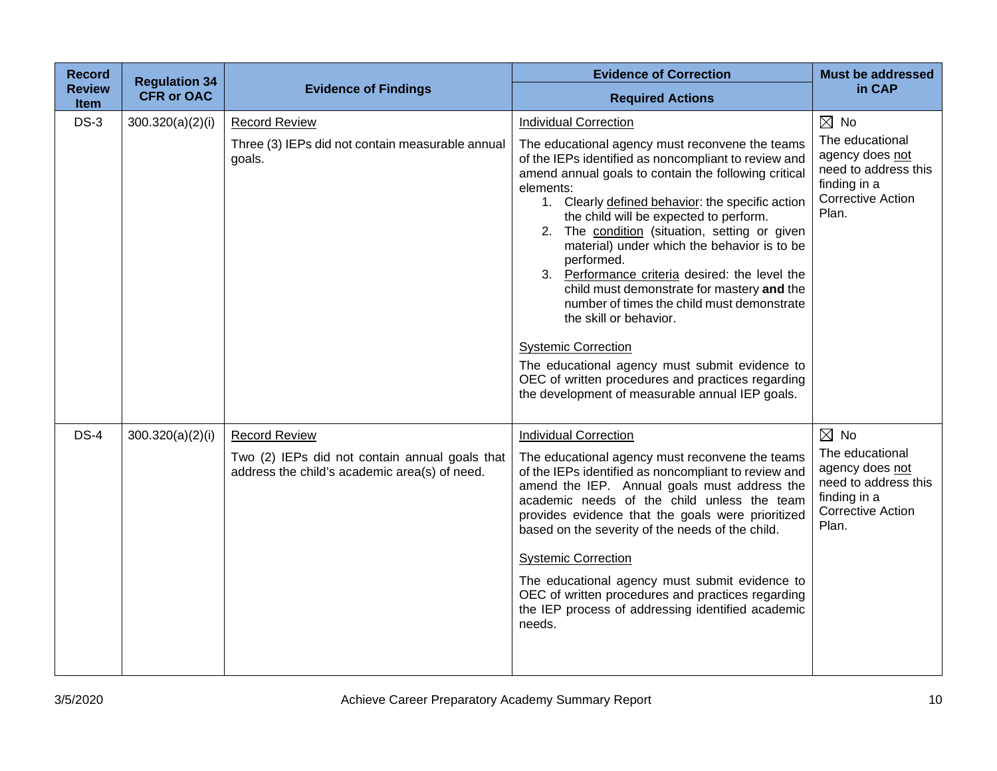| <b>Record</b><br><b>Review</b><br><b>Item</b> | <b>Regulation 34</b><br><b>CFR or OAC</b> | <b>Evidence of Findings</b>                                                                                             | <b>Evidence of Correction</b><br><b>Required Actions</b>                                                                                                                                                                                                                                                                                                                                                                                                                                                                                                                                                                                                                                                                                                                                 | <b>Must be addressed</b><br>in CAP                                                                                                |
|-----------------------------------------------|-------------------------------------------|-------------------------------------------------------------------------------------------------------------------------|------------------------------------------------------------------------------------------------------------------------------------------------------------------------------------------------------------------------------------------------------------------------------------------------------------------------------------------------------------------------------------------------------------------------------------------------------------------------------------------------------------------------------------------------------------------------------------------------------------------------------------------------------------------------------------------------------------------------------------------------------------------------------------------|-----------------------------------------------------------------------------------------------------------------------------------|
| $DS-3$                                        | 300.320(a)(2)(i)                          | <b>Record Review</b><br>Three (3) IEPs did not contain measurable annual<br>goals.                                      | <b>Individual Correction</b><br>The educational agency must reconvene the teams<br>of the IEPs identified as noncompliant to review and<br>amend annual goals to contain the following critical<br>elements:<br>1. Clearly defined behavior: the specific action<br>the child will be expected to perform.<br>2. The condition (situation, setting or given<br>material) under which the behavior is to be<br>performed.<br>3. Performance criteria desired: the level the<br>child must demonstrate for mastery and the<br>number of times the child must demonstrate<br>the skill or behavior.<br><b>Systemic Correction</b><br>The educational agency must submit evidence to<br>OEC of written procedures and practices regarding<br>the development of measurable annual IEP goals. | $\boxtimes$ No<br>The educational<br>agency does not<br>need to address this<br>finding in a<br><b>Corrective Action</b><br>Plan. |
| $DS-4$                                        | 300.320(a)(2)(i)                          | <b>Record Review</b><br>Two (2) IEPs did not contain annual goals that<br>address the child's academic area(s) of need. | <b>Individual Correction</b><br>The educational agency must reconvene the teams<br>of the IEPs identified as noncompliant to review and<br>amend the IEP. Annual goals must address the<br>academic needs of the child unless the team<br>provides evidence that the goals were prioritized<br>based on the severity of the needs of the child.<br><b>Systemic Correction</b><br>The educational agency must submit evidence to<br>OEC of written procedures and practices regarding<br>the IEP process of addressing identified academic<br>needs.                                                                                                                                                                                                                                      | $\boxtimes$ No<br>The educational<br>agency does not<br>need to address this<br>finding in a<br><b>Corrective Action</b><br>Plan. |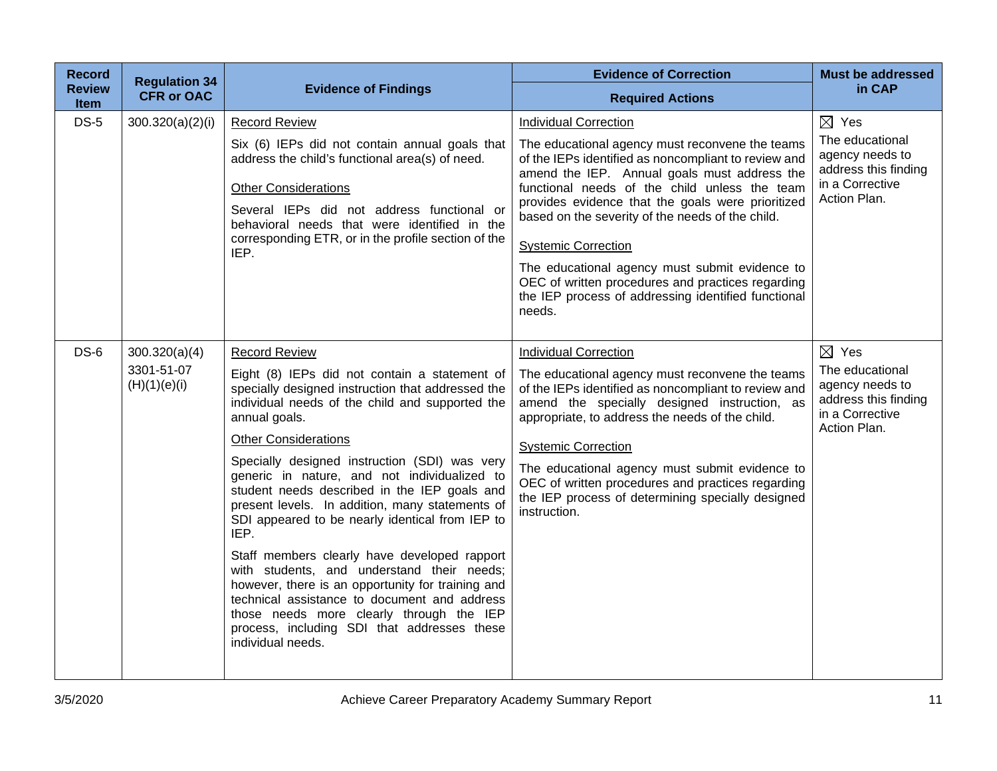| <b>Record</b>                | <b>Regulation 34</b>                        |                                                                                                                                                                                                                                                                                                                                                                                                                                                                                                                                                                                                                                                                                                                                                                                                                 | <b>Evidence of Correction</b>                                                                                                                                                                                                                                                                                                                                                                                                                                                                                                                 | <b>Must be addressed</b>                                                                                         |
|------------------------------|---------------------------------------------|-----------------------------------------------------------------------------------------------------------------------------------------------------------------------------------------------------------------------------------------------------------------------------------------------------------------------------------------------------------------------------------------------------------------------------------------------------------------------------------------------------------------------------------------------------------------------------------------------------------------------------------------------------------------------------------------------------------------------------------------------------------------------------------------------------------------|-----------------------------------------------------------------------------------------------------------------------------------------------------------------------------------------------------------------------------------------------------------------------------------------------------------------------------------------------------------------------------------------------------------------------------------------------------------------------------------------------------------------------------------------------|------------------------------------------------------------------------------------------------------------------|
| <b>Review</b><br><b>Item</b> | <b>CFR or OAC</b>                           | <b>Evidence of Findings</b>                                                                                                                                                                                                                                                                                                                                                                                                                                                                                                                                                                                                                                                                                                                                                                                     | <b>Required Actions</b>                                                                                                                                                                                                                                                                                                                                                                                                                                                                                                                       | in CAP                                                                                                           |
| $DS-5$                       | 300.320(a)(2)(i)                            | <b>Record Review</b><br>Six (6) IEPs did not contain annual goals that<br>address the child's functional area(s) of need.<br><b>Other Considerations</b><br>Several IEPs did not address functional or<br>behavioral needs that were identified in the<br>corresponding ETR, or in the profile section of the<br>IEP.                                                                                                                                                                                                                                                                                                                                                                                                                                                                                           | <b>Individual Correction</b><br>The educational agency must reconvene the teams<br>of the IEPs identified as noncompliant to review and<br>amend the IEP. Annual goals must address the<br>functional needs of the child unless the team<br>provides evidence that the goals were prioritized<br>based on the severity of the needs of the child.<br><b>Systemic Correction</b><br>The educational agency must submit evidence to<br>OEC of written procedures and practices regarding<br>the IEP process of addressing identified functional | $\boxtimes$ Yes<br>The educational<br>agency needs to<br>address this finding<br>in a Corrective<br>Action Plan. |
| $DS-6$                       | 300.320(a)(4)<br>3301-51-07<br>(H)(1)(e)(i) | <b>Record Review</b><br>Eight (8) IEPs did not contain a statement of<br>specially designed instruction that addressed the<br>individual needs of the child and supported the<br>annual goals.<br><b>Other Considerations</b><br>Specially designed instruction (SDI) was very<br>generic in nature, and not individualized to<br>student needs described in the IEP goals and<br>present levels. In addition, many statements of<br>SDI appeared to be nearly identical from IEP to<br>IEP.<br>Staff members clearly have developed rapport<br>with students, and understand their needs;<br>however, there is an opportunity for training and<br>technical assistance to document and address<br>those needs more clearly through the IEP<br>process, including SDI that addresses these<br>individual needs. | needs.<br><b>Individual Correction</b><br>The educational agency must reconvene the teams<br>of the IEPs identified as noncompliant to review and<br>amend the specially designed instruction, as<br>appropriate, to address the needs of the child.<br><b>Systemic Correction</b><br>The educational agency must submit evidence to<br>OEC of written procedures and practices regarding<br>the IEP process of determining specially designed<br>instruction.                                                                                | $\boxtimes$ Yes<br>The educational<br>agency needs to<br>address this finding<br>in a Corrective<br>Action Plan. |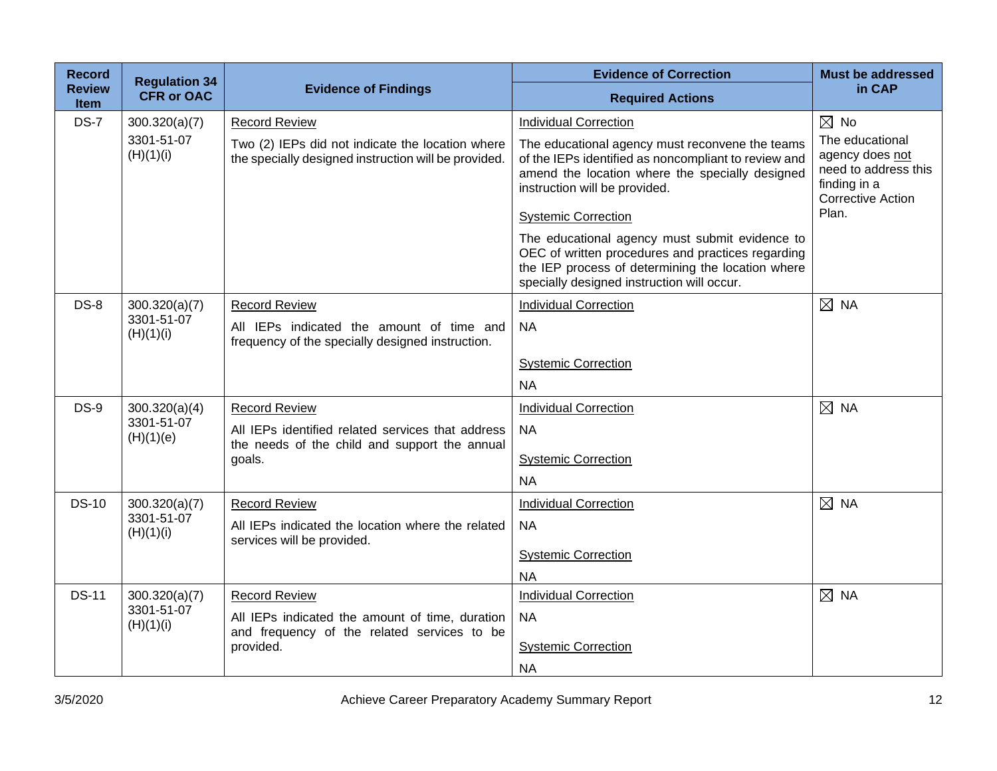| <b>Record</b>                | <b>Regulation 34</b>        |                                                                                                          | <b>Evidence of Correction</b>                                                                                                                                                                          | <b>Must be addressed</b>                                                                                        |
|------------------------------|-----------------------------|----------------------------------------------------------------------------------------------------------|--------------------------------------------------------------------------------------------------------------------------------------------------------------------------------------------------------|-----------------------------------------------------------------------------------------------------------------|
| <b>Review</b><br><b>Item</b> | <b>CFR or OAC</b>           | <b>Evidence of Findings</b>                                                                              | <b>Required Actions</b>                                                                                                                                                                                | in CAP                                                                                                          |
| <b>DS-7</b>                  | 300.320(a)(7)               | <b>Record Review</b>                                                                                     | <b>Individual Correction</b>                                                                                                                                                                           | $\boxtimes$ No                                                                                                  |
|                              | 3301-51-07<br>(H)(1)(i)     | Two (2) IEPs did not indicate the location where<br>the specially designed instruction will be provided. | The educational agency must reconvene the teams<br>of the IEPs identified as noncompliant to review and<br>amend the location where the specially designed<br>instruction will be provided.            | The educational<br>agency does not<br>need to address this<br>finding in a<br><b>Corrective Action</b><br>Plan. |
|                              |                             |                                                                                                          | <b>Systemic Correction</b>                                                                                                                                                                             |                                                                                                                 |
|                              |                             |                                                                                                          | The educational agency must submit evidence to<br>OEC of written procedures and practices regarding<br>the IEP process of determining the location where<br>specially designed instruction will occur. |                                                                                                                 |
| <b>DS-8</b>                  | 300.320(a)(7)               | <b>Record Review</b>                                                                                     | <b>Individual Correction</b>                                                                                                                                                                           | $\boxtimes$ NA                                                                                                  |
|                              | 3301-51-07<br>(H)(1)(i)     | All IEPs indicated the amount of time and<br>frequency of the specially designed instruction.            | <b>NA</b>                                                                                                                                                                                              |                                                                                                                 |
|                              |                             |                                                                                                          | <b>Systemic Correction</b>                                                                                                                                                                             |                                                                                                                 |
|                              |                             |                                                                                                          | <b>NA</b>                                                                                                                                                                                              |                                                                                                                 |
| $DS-9$                       | 300.320(a)(4)               | <b>Record Review</b>                                                                                     | <b>Individual Correction</b>                                                                                                                                                                           | $\boxtimes$ NA                                                                                                  |
|                              | 3301-51-07<br>(H)(1)(e)     | All IEPs identified related services that address<br>the needs of the child and support the annual       | <b>NA</b>                                                                                                                                                                                              |                                                                                                                 |
|                              |                             | goals.                                                                                                   | <b>Systemic Correction</b>                                                                                                                                                                             |                                                                                                                 |
|                              |                             |                                                                                                          | <b>NA</b>                                                                                                                                                                                              |                                                                                                                 |
| <b>DS-10</b>                 | 300.320(a)(7)               | <b>Record Review</b>                                                                                     | <b>Individual Correction</b>                                                                                                                                                                           | $\boxtimes$ NA                                                                                                  |
|                              | 3301-51-07<br>(H)(1)(i)     | All IEPs indicated the location where the related<br>services will be provided.                          | <b>NA</b>                                                                                                                                                                                              |                                                                                                                 |
|                              |                             |                                                                                                          | <b>Systemic Correction</b>                                                                                                                                                                             |                                                                                                                 |
|                              |                             |                                                                                                          | <b>NA</b>                                                                                                                                                                                              |                                                                                                                 |
| <b>DS-11</b>                 | 300.320(a)(7)<br>3301-51-07 | <b>Record Review</b>                                                                                     | <b>Individual Correction</b>                                                                                                                                                                           | $\boxtimes$ NA                                                                                                  |
|                              | (H)(1)(i)                   | All IEPs indicated the amount of time, duration<br>and frequency of the related services to be           | <b>NA</b>                                                                                                                                                                                              |                                                                                                                 |
|                              |                             | provided.                                                                                                | <b>Systemic Correction</b>                                                                                                                                                                             |                                                                                                                 |
|                              |                             |                                                                                                          | <b>NA</b>                                                                                                                                                                                              |                                                                                                                 |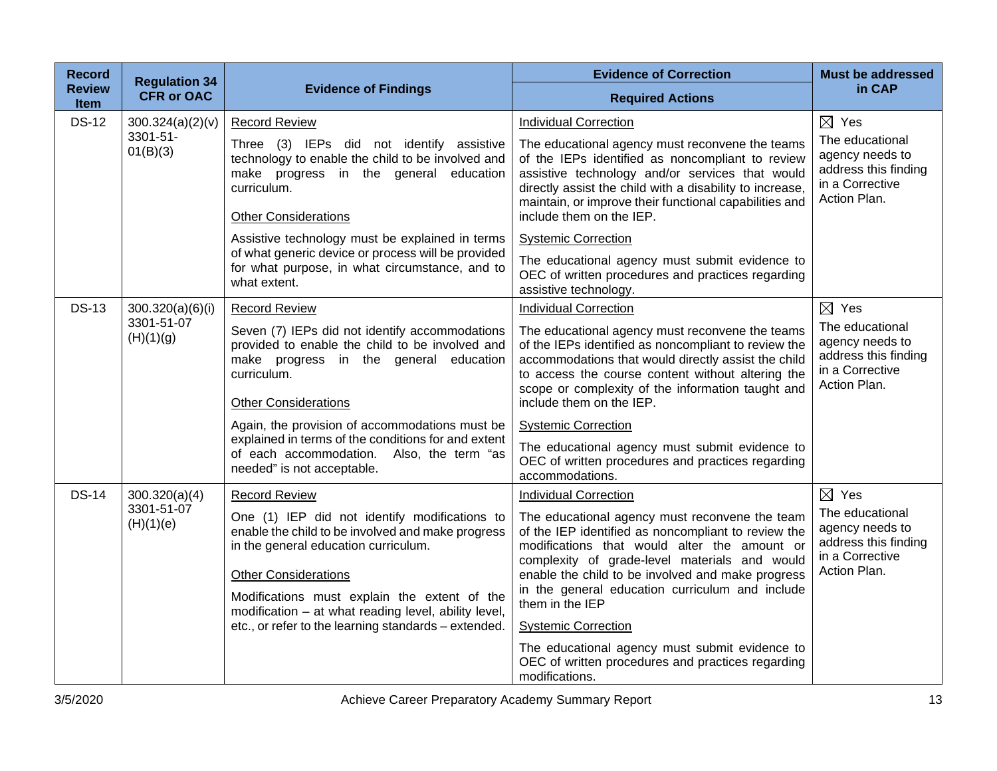| <b>Record</b>         | <b>Regulation 34</b>    |                                                                                                                                                                                                                                                                                                                                           | <b>Evidence of Correction</b>                                                                                                                                                                                                                                                                                                                                   | <b>Must be addressed</b>                                                                      |
|-----------------------|-------------------------|-------------------------------------------------------------------------------------------------------------------------------------------------------------------------------------------------------------------------------------------------------------------------------------------------------------------------------------------|-----------------------------------------------------------------------------------------------------------------------------------------------------------------------------------------------------------------------------------------------------------------------------------------------------------------------------------------------------------------|-----------------------------------------------------------------------------------------------|
| <b>Review</b><br>Item | <b>CFR or OAC</b>       | <b>Evidence of Findings</b>                                                                                                                                                                                                                                                                                                               | <b>Required Actions</b>                                                                                                                                                                                                                                                                                                                                         | in CAP                                                                                        |
| <b>DS-12</b>          | 300.324(a)(2)(v)        | <b>Record Review</b>                                                                                                                                                                                                                                                                                                                      | <b>Individual Correction</b>                                                                                                                                                                                                                                                                                                                                    | $\boxtimes$ Yes                                                                               |
|                       | 3301-51-<br>01(B)(3)    | Three (3) IEPs did not identify assistive<br>technology to enable the child to be involved and<br>make progress in the general education<br>curriculum.<br><b>Other Considerations</b>                                                                                                                                                    | The educational agency must reconvene the teams<br>of the IEPs identified as noncompliant to review<br>assistive technology and/or services that would<br>directly assist the child with a disability to increase,<br>maintain, or improve their functional capabilities and<br>include them on the IEP.                                                        | The educational<br>agency needs to<br>address this finding<br>in a Corrective<br>Action Plan. |
|                       |                         | Assistive technology must be explained in terms                                                                                                                                                                                                                                                                                           | <b>Systemic Correction</b>                                                                                                                                                                                                                                                                                                                                      |                                                                                               |
|                       |                         | of what generic device or process will be provided<br>for what purpose, in what circumstance, and to<br>what extent.                                                                                                                                                                                                                      | The educational agency must submit evidence to<br>OEC of written procedures and practices regarding<br>assistive technology.                                                                                                                                                                                                                                    |                                                                                               |
| <b>DS-13</b>          | 300.320(a)(6)(i)        | <b>Record Review</b>                                                                                                                                                                                                                                                                                                                      | <b>Individual Correction</b>                                                                                                                                                                                                                                                                                                                                    | $\boxtimes$ Yes                                                                               |
|                       | 3301-51-07<br>(H)(1)(g) | Seven (7) IEPs did not identify accommodations<br>provided to enable the child to be involved and<br>make progress in the general education<br>curriculum.<br><b>Other Considerations</b>                                                                                                                                                 | The educational agency must reconvene the teams<br>of the IEPs identified as noncompliant to review the<br>accommodations that would directly assist the child<br>to access the course content without altering the<br>scope or complexity of the information taught and<br>include them on the IEP.                                                            | The educational<br>agency needs to<br>address this finding<br>in a Corrective<br>Action Plan. |
|                       |                         | Again, the provision of accommodations must be                                                                                                                                                                                                                                                                                            | <b>Systemic Correction</b>                                                                                                                                                                                                                                                                                                                                      |                                                                                               |
|                       |                         | explained in terms of the conditions for and extent<br>of each accommodation. Also, the term "as<br>needed" is not acceptable.                                                                                                                                                                                                            | The educational agency must submit evidence to<br>OEC of written procedures and practices regarding<br>accommodations.                                                                                                                                                                                                                                          |                                                                                               |
| <b>DS-14</b>          | 300.320(a)(4)           | <b>Record Review</b>                                                                                                                                                                                                                                                                                                                      | <b>Individual Correction</b>                                                                                                                                                                                                                                                                                                                                    | $\boxtimes$ Yes                                                                               |
|                       | 3301-51-07<br>(H)(1)(e) | One (1) IEP did not identify modifications to<br>enable the child to be involved and make progress<br>in the general education curriculum.<br><b>Other Considerations</b><br>Modifications must explain the extent of the<br>modification - at what reading level, ability level,<br>etc., or refer to the learning standards - extended. | The educational agency must reconvene the team<br>of the IEP identified as noncompliant to review the<br>modifications that would alter the amount or<br>complexity of grade-level materials and would<br>enable the child to be involved and make progress<br>in the general education curriculum and include<br>them in the IEP<br><b>Systemic Correction</b> | The educational<br>agency needs to<br>address this finding<br>in a Corrective<br>Action Plan. |
|                       |                         |                                                                                                                                                                                                                                                                                                                                           | The educational agency must submit evidence to<br>OEC of written procedures and practices regarding<br>modifications.                                                                                                                                                                                                                                           |                                                                                               |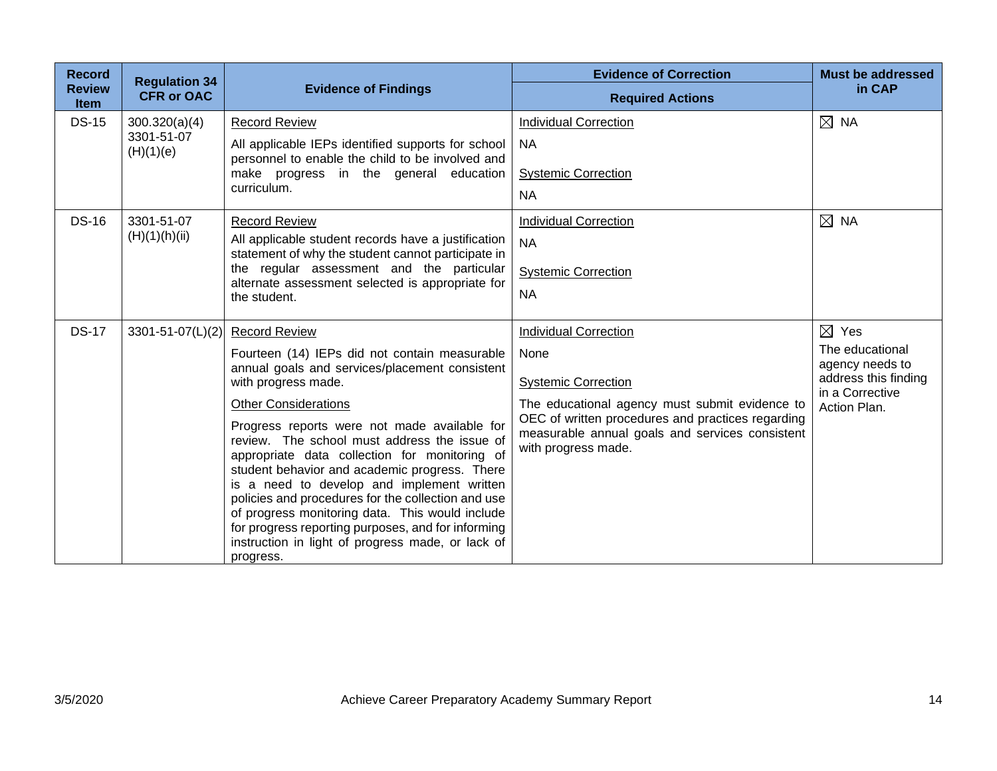| <b>Record</b><br><b>Review</b> | <b>Regulation 34</b>    | <b>Evidence of Findings</b>                                                                                                                                                                                                                                                                                                                                                                                                                                                   | <b>Evidence of Correction</b>                                                                                               | <b>Must be addressed</b><br>in CAP      |
|--------------------------------|-------------------------|-------------------------------------------------------------------------------------------------------------------------------------------------------------------------------------------------------------------------------------------------------------------------------------------------------------------------------------------------------------------------------------------------------------------------------------------------------------------------------|-----------------------------------------------------------------------------------------------------------------------------|-----------------------------------------|
| <b>Item</b>                    | <b>CFR or OAC</b>       |                                                                                                                                                                                                                                                                                                                                                                                                                                                                               | <b>Required Actions</b>                                                                                                     |                                         |
| <b>DS-15</b>                   | 300.320(a)(4)           | <b>Record Review</b>                                                                                                                                                                                                                                                                                                                                                                                                                                                          | <b>Individual Correction</b>                                                                                                | $\boxtimes$ NA                          |
|                                | 3301-51-07<br>(H)(1)(e) | All applicable IEPs identified supports for school<br>personnel to enable the child to be involved and<br>make progress in the general education                                                                                                                                                                                                                                                                                                                              | <b>NA</b><br><b>Systemic Correction</b>                                                                                     |                                         |
|                                |                         | curriculum.                                                                                                                                                                                                                                                                                                                                                                                                                                                                   | <b>NA</b>                                                                                                                   |                                         |
| <b>DS-16</b>                   | 3301-51-07              | <b>Record Review</b>                                                                                                                                                                                                                                                                                                                                                                                                                                                          | <b>Individual Correction</b>                                                                                                | $\boxtimes$ NA                          |
|                                | (H)(1)(h)(ii)           | All applicable student records have a justification<br>statement of why the student cannot participate in                                                                                                                                                                                                                                                                                                                                                                     | <b>NA</b>                                                                                                                   |                                         |
|                                |                         | the regular assessment and the particular                                                                                                                                                                                                                                                                                                                                                                                                                                     | <b>Systemic Correction</b>                                                                                                  |                                         |
|                                |                         | alternate assessment selected is appropriate for<br>the student.                                                                                                                                                                                                                                                                                                                                                                                                              | <b>NA</b>                                                                                                                   |                                         |
| <b>DS-17</b>                   | 3301-51-07(L)(2)        | <b>Record Review</b>                                                                                                                                                                                                                                                                                                                                                                                                                                                          | <b>Individual Correction</b>                                                                                                | $\boxtimes$ Yes                         |
|                                |                         | Fourteen (14) IEPs did not contain measurable                                                                                                                                                                                                                                                                                                                                                                                                                                 | None                                                                                                                        | The educational                         |
|                                |                         | annual goals and services/placement consistent<br>with progress made.                                                                                                                                                                                                                                                                                                                                                                                                         | <b>Systemic Correction</b>                                                                                                  | agency needs to<br>address this finding |
|                                |                         | <b>Other Considerations</b>                                                                                                                                                                                                                                                                                                                                                                                                                                                   | The educational agency must submit evidence to                                                                              | in a Corrective<br>Action Plan.         |
|                                |                         | Progress reports were not made available for<br>review. The school must address the issue of<br>appropriate data collection for monitoring of<br>student behavior and academic progress. There<br>is a need to develop and implement written<br>policies and procedures for the collection and use<br>of progress monitoring data. This would include<br>for progress reporting purposes, and for informing<br>instruction in light of progress made, or lack of<br>progress. | OEC of written procedures and practices regarding<br>measurable annual goals and services consistent<br>with progress made. |                                         |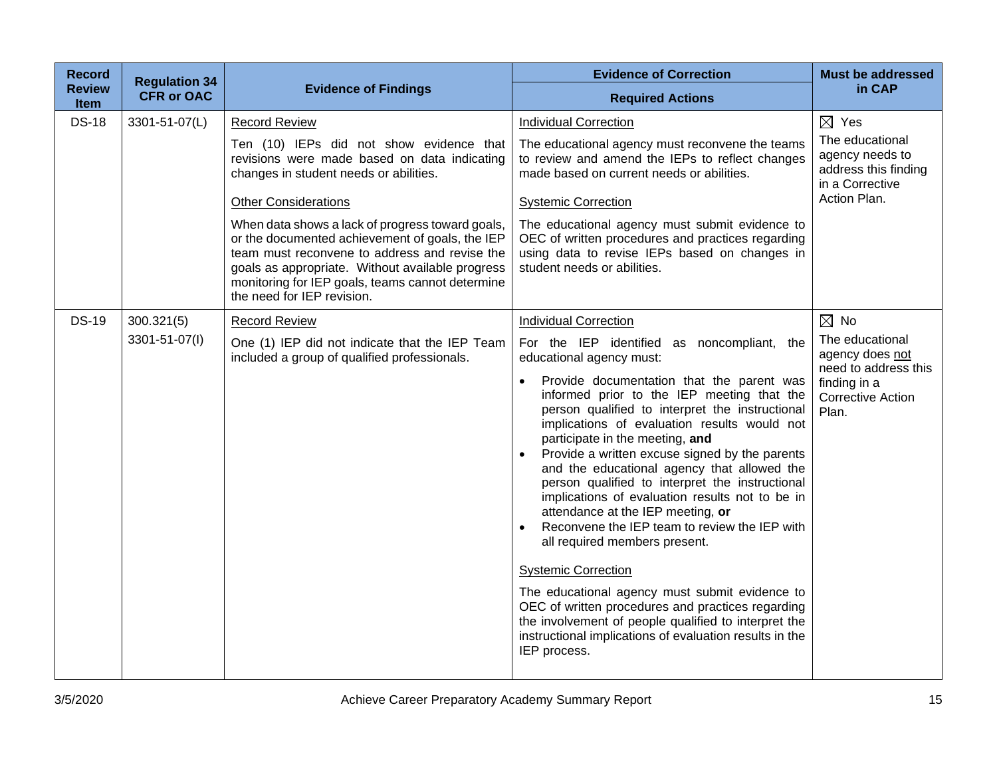| <b>Record</b>         | <b>Regulation 34</b> |                                                                                                                                                                                                                                                                                            | <b>Evidence of Correction</b>                                                                                                                                                                                                                                                                                                                                                                                                                                                                                                                                                                                                                                                                                                                                                                                                                                 | <b>Must be addressed</b>                                                      |
|-----------------------|----------------------|--------------------------------------------------------------------------------------------------------------------------------------------------------------------------------------------------------------------------------------------------------------------------------------------|---------------------------------------------------------------------------------------------------------------------------------------------------------------------------------------------------------------------------------------------------------------------------------------------------------------------------------------------------------------------------------------------------------------------------------------------------------------------------------------------------------------------------------------------------------------------------------------------------------------------------------------------------------------------------------------------------------------------------------------------------------------------------------------------------------------------------------------------------------------|-------------------------------------------------------------------------------|
| <b>Review</b><br>Item | <b>CFR or OAC</b>    | <b>Evidence of Findings</b>                                                                                                                                                                                                                                                                | <b>Required Actions</b>                                                                                                                                                                                                                                                                                                                                                                                                                                                                                                                                                                                                                                                                                                                                                                                                                                       | in CAP                                                                        |
| <b>DS-18</b>          | 3301-51-07(L)        | <b>Record Review</b>                                                                                                                                                                                                                                                                       | <b>Individual Correction</b>                                                                                                                                                                                                                                                                                                                                                                                                                                                                                                                                                                                                                                                                                                                                                                                                                                  | $\boxtimes$ Yes                                                               |
|                       |                      | Ten (10) IEPs did not show evidence that<br>revisions were made based on data indicating<br>changes in student needs or abilities.                                                                                                                                                         | The educational agency must reconvene the teams<br>to review and amend the IEPs to reflect changes<br>made based on current needs or abilities.                                                                                                                                                                                                                                                                                                                                                                                                                                                                                                                                                                                                                                                                                                               | The educational<br>agency needs to<br>address this finding<br>in a Corrective |
|                       |                      | <b>Other Considerations</b>                                                                                                                                                                                                                                                                | <b>Systemic Correction</b>                                                                                                                                                                                                                                                                                                                                                                                                                                                                                                                                                                                                                                                                                                                                                                                                                                    | Action Plan.                                                                  |
|                       |                      | When data shows a lack of progress toward goals,<br>or the documented achievement of goals, the IEP<br>team must reconvene to address and revise the<br>goals as appropriate. Without available progress<br>monitoring for IEP goals, teams cannot determine<br>the need for IEP revision. | The educational agency must submit evidence to<br>OEC of written procedures and practices regarding<br>using data to revise IEPs based on changes in<br>student needs or abilities.                                                                                                                                                                                                                                                                                                                                                                                                                                                                                                                                                                                                                                                                           |                                                                               |
| <b>DS-19</b>          | 300.321(5)           | <b>Record Review</b>                                                                                                                                                                                                                                                                       | <b>Individual Correction</b>                                                                                                                                                                                                                                                                                                                                                                                                                                                                                                                                                                                                                                                                                                                                                                                                                                  | $\boxtimes$ No                                                                |
|                       | 3301-51-07(I)        | One (1) IEP did not indicate that the IEP Team<br>included a group of qualified professionals.                                                                                                                                                                                             | For the IEP identified as noncompliant, the<br>educational agency must:                                                                                                                                                                                                                                                                                                                                                                                                                                                                                                                                                                                                                                                                                                                                                                                       | The educational<br>agency does not<br>need to address this                    |
|                       |                      |                                                                                                                                                                                                                                                                                            | Provide documentation that the parent was<br>$\bullet$<br>informed prior to the IEP meeting that the<br>person qualified to interpret the instructional<br>implications of evaluation results would not<br>participate in the meeting, and<br>Provide a written excuse signed by the parents<br>and the educational agency that allowed the<br>person qualified to interpret the instructional<br>implications of evaluation results not to be in<br>attendance at the IEP meeting, or<br>Reconvene the IEP team to review the IEP with<br>$\bullet$<br>all required members present.<br><b>Systemic Correction</b><br>The educational agency must submit evidence to<br>OEC of written procedures and practices regarding<br>the involvement of people qualified to interpret the<br>instructional implications of evaluation results in the<br>IEP process. | finding in a<br><b>Corrective Action</b><br>Plan.                             |